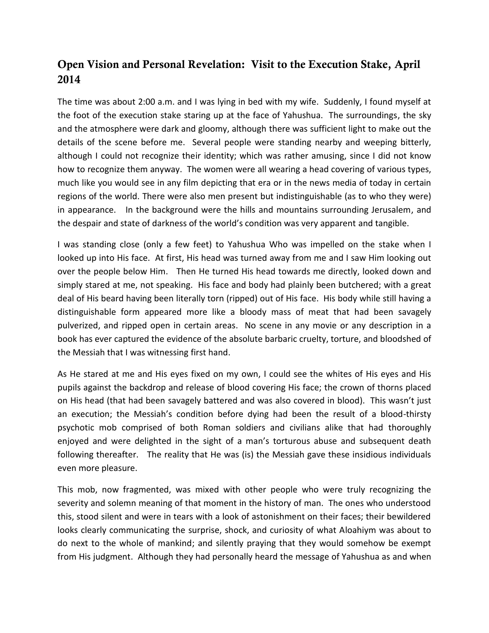## **Open Vision and Personal Revelation: Visit to the Execution Stake, April 2014**

The time was about 2:00 a.m. and I was lying in bed with my wife. Suddenly, I found myself at the foot of the execution stake staring up at the face of Yahushua. The surroundings, the sky and the atmosphere were dark and gloomy, although there was sufficient light to make out the details of the scene before me. Several people were standing nearby and weeping bitterly, although I could not recognize their identity; which was rather amusing, since I did not know how to recognize them anyway. The women were all wearing a head covering of various types, much like you would see in any film depicting that era or in the news media of today in certain regions of the world. There were also men present but indistinguishable (as to who they were) in appearance. In the background were the hills and mountains surrounding Jerusalem, and the despair and state of darkness of the world's condition was very apparent and tangible.

I was standing close (only a few feet) to Yahushua Who was impelled on the stake when I looked up into His face. At first, His head was turned away from me and I saw Him looking out over the people below Him. Then He turned His head towards me directly, looked down and simply stared at me, not speaking. His face and body had plainly been butchered; with a great deal of His beard having been literally torn (ripped) out of His face. His body while still having a distinguishable form appeared more like a bloody mass of meat that had been savagely pulverized, and ripped open in certain areas. No scene in any movie or any description in a book has ever captured the evidence of the absolute barbaric cruelty, torture, and bloodshed of the Messiah that I was witnessing first hand.

As He stared at me and His eyes fixed on my own, I could see the whites of His eyes and His pupils against the backdrop and release of blood covering His face; the crown of thorns placed on His head (that had been savagely battered and was also covered in blood). This wasn't just an execution; the Messiah's condition before dying had been the result of a blood-thirsty psychotic mob comprised of both Roman soldiers and civilians alike that had thoroughly enjoyed and were delighted in the sight of a man's torturous abuse and subsequent death following thereafter. The reality that He was (is) the Messiah gave these insidious individuals even more pleasure.

This mob, now fragmented, was mixed with other people who were truly recognizing the severity and solemn meaning of that moment in the history of man. The ones who understood this, stood silent and were in tears with a look of astonishment on their faces; their bewildered looks clearly communicating the surprise, shock, and curiosity of what Aloahiym was about to do next to the whole of mankind; and silently praying that they would somehow be exempt from His judgment. Although they had personally heard the message of Yahushua as and when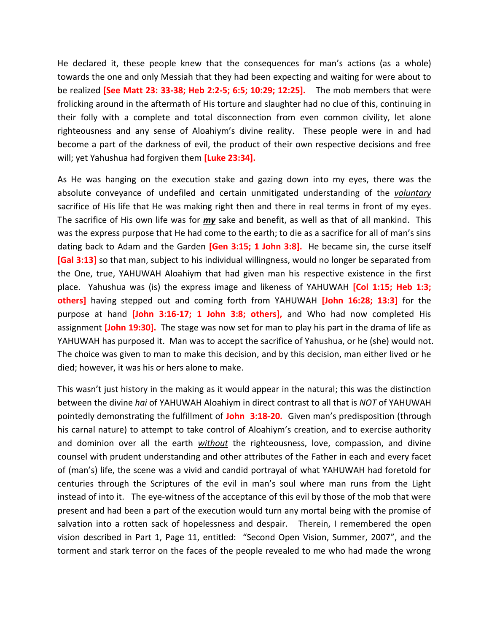He declared it, these people knew that the consequences for man's actions (as a whole) towards the one and only Messiah that they had been expecting and waiting for were about to be realized **[See Matt 23: 33-38; Heb 2:2-5; 6:5; 10:29; 12:25].** The mob members that were frolicking around in the aftermath of His torture and slaughter had no clue of this, continuing in their folly with a complete and total disconnection from even common civility, let alone righteousness and any sense of Aloahiym's divine reality. These people were in and had become a part of the darkness of evil, the product of their own respective decisions and free will; yet Yahushua had forgiven them **[Luke 23:34].**

As He was hanging on the execution stake and gazing down into my eyes, there was the absolute conveyance of undefiled and certain unmitigated understanding of the *voluntary* sacrifice of His life that He was making right then and there in real terms in front of my eyes. The sacrifice of His own life was for *my* sake and benefit, as well as that of all mankind. This was the express purpose that He had come to the earth; to die as a sacrifice for all of man's sins dating back to Adam and the Garden **[Gen 3:15; 1 John 3:8].** He became sin, the curse itself **[Gal 3:13]** so that man, subject to his individual willingness, would no longer be separated from the One, true, YAHUWAH Aloahiym that had given man his respective existence in the first place. Yahushua was (is) the express image and likeness of YAHUWAH **[Col 1:15; Heb 1:3; others]** having stepped out and coming forth from YAHUWAH **[John 16:28; 13:3]** for the purpose at hand **[John 3:16-17; 1 John 3:8; others],** and Who had now completed His assignment **[John 19:30].** The stage was now set for man to play his part in the drama of life as YAHUWAH has purposed it. Man was to accept the sacrifice of Yahushua, or he (she) would not. The choice was given to man to make this decision, and by this decision, man either lived or he died; however, it was his or hers alone to make.

This wasn't just history in the making as it would appear in the natural; this was the distinction between the divine *hai* of YAHUWAH Aloahiym in direct contrast to all that is *NOT* of YAHUWAH pointedly demonstrating the fulfillment of **John 3:18-20.** Given man's predisposition (through his carnal nature) to attempt to take control of Aloahiym's creation, and to exercise authority and dominion over all the earth *without* the righteousness, love, compassion, and divine counsel with prudent understanding and other attributes of the Father in each and every facet of (man's) life, the scene was a vivid and candid portrayal of what YAHUWAH had foretold for centuries through the Scriptures of the evil in man's soul where man runs from the Light instead of into it. The eye-witness of the acceptance of this evil by those of the mob that were present and had been a part of the execution would turn any mortal being with the promise of salvation into a rotten sack of hopelessness and despair. Therein, I remembered the open vision described in Part 1, Page 11, entitled: "Second Open Vision, Summer, 2007", and the torment and stark terror on the faces of the people revealed to me who had made the wrong